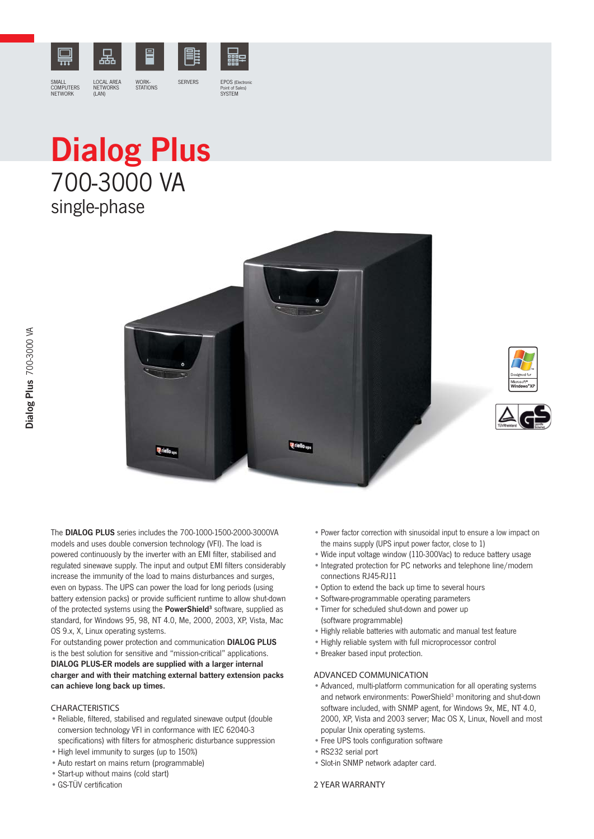

## Dialog Plus 700-3000 VA single-phase







The DIALOG PLUS series includes the 700-1000-1500-2000-3000VA models and uses double conversion technology (VFI). The load is powered continuously by the inverter with an EMI filter, stabilised and regulated sinewave supply. The input and output EMI filters considerably increase the immunity of the load to mains disturbances and surges, even on bypass. The UPS can power the load for long periods (using battery extension packs) or provide sufficient runtime to allow shut-down of the protected systems using the PowerShield<sup>3</sup> software, supplied as standard, for Windows 95, 98, NT 4.0, Me, 2000, 2003, XP, Vista, Mac OS 9.x, X, Linux operating systems.

For outstanding power protection and communication DIALOG PLUS is the best solution for sensitive and "mission-critical" applications. DIALOG PLUS-ER models are supplied with a larger internal charger and with their matching external battery extension packs can achieve long back up times.

## CHARACTERISTICS

- Reliable, filtered, stabilised and regulated sinewave output (double conversion technology VFI in conformance with IEC 62040-3 specifications) with filters for atmospheric disturbance suppression
- High level immunity to surges (up to 150%)
- Auto restart on mains return (programmable)
- Start-up without mains (cold start)
- GS-TÜV certification
- Power factor correction with sinusoidal input to ensure a low impact on the mains supply (UPS input power factor, close to 1)
- Wide input voltage window (110-300Vac) to reduce battery usage
- Integrated protection for PC networks and telephone line/modem connections RJ45-RJ11
- Option to extend the back up time to several hours
- Software-programmable operating parameters
- Timer for scheduled shut-down and power up (software programmable)
- Highly reliable batteries with automatic and manual test feature
- Highly reliable system with full microprocessor control
- Breaker based input protection.

## ADVANCED COMMUNICATION

- Advanced, multi-platform communication for all operating systems and network environments: PowerShield<sup>3</sup> monitoring and shut-down software included, with SNMP agent, for Windows 9x, ME, NT 4.0, 2000, XP, Vista and 2003 server; Mac OS X, Linux, Novell and most popular Unix operating systems.
- Free UPS tools configuration software
- RS232 serial port
- Slot-in SNMP network adapter card.

## 2 YEAR WARRANTY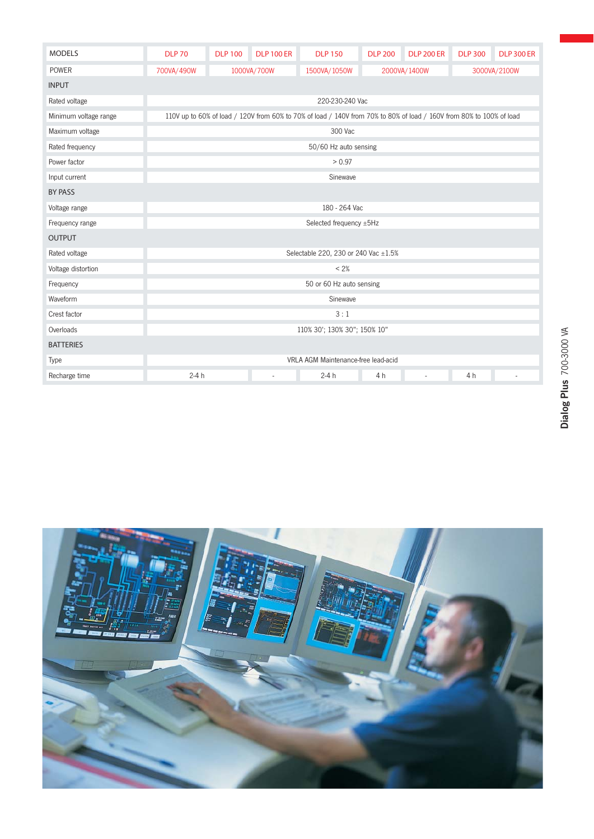| <b>MODELS</b>         | <b>DLP 70</b>                                                                                                        | <b>DLP 100</b> | <b>DLP 100 ER</b> | <b>DLP 150</b> | <b>DLP 200</b> | <b>DLP 200 ER</b> | <b>DLP 300</b> | <b>DLP 300 ER</b> |  |  |  |  |
|-----------------------|----------------------------------------------------------------------------------------------------------------------|----------------|-------------------|----------------|----------------|-------------------|----------------|-------------------|--|--|--|--|
| POWER                 | 700VA/490W                                                                                                           | 1000VA/700W    |                   | 1500VA/1050W   | 2000VA/1400W   |                   | 3000VA/2100W   |                   |  |  |  |  |
| <b>INPUT</b>          |                                                                                                                      |                |                   |                |                |                   |                |                   |  |  |  |  |
| Rated voltage         | 220-230-240 Vac                                                                                                      |                |                   |                |                |                   |                |                   |  |  |  |  |
| Minimum voltage range | 110V up to 60% of load / 120V from 60% to 70% of load / 140V from 70% to 80% of load / 160V from 80% to 100% of load |                |                   |                |                |                   |                |                   |  |  |  |  |
| Maximum voltage       | 300 Vac                                                                                                              |                |                   |                |                |                   |                |                   |  |  |  |  |
| Rated frequency       | 50/60 Hz auto sensing                                                                                                |                |                   |                |                |                   |                |                   |  |  |  |  |
| Power factor          | > 0.97                                                                                                               |                |                   |                |                |                   |                |                   |  |  |  |  |
| Input current         | Sinewave                                                                                                             |                |                   |                |                |                   |                |                   |  |  |  |  |
| <b>BY PASS</b>        |                                                                                                                      |                |                   |                |                |                   |                |                   |  |  |  |  |
| Voltage range         | 180 - 264 Vac                                                                                                        |                |                   |                |                |                   |                |                   |  |  |  |  |
| Frequency range       | Selected frequency ±5Hz                                                                                              |                |                   |                |                |                   |                |                   |  |  |  |  |
| <b>OUTPUT</b>         |                                                                                                                      |                |                   |                |                |                   |                |                   |  |  |  |  |
| Rated voltage         | Selectable 220, 230 or 240 Vac ±1.5%                                                                                 |                |                   |                |                |                   |                |                   |  |  |  |  |
| Voltage distortion    | < 2%                                                                                                                 |                |                   |                |                |                   |                |                   |  |  |  |  |
| Frequency             | 50 or 60 Hz auto sensing                                                                                             |                |                   |                |                |                   |                |                   |  |  |  |  |
| Waveform              | Sinewave                                                                                                             |                |                   |                |                |                   |                |                   |  |  |  |  |
| Crest factor          | 3:1                                                                                                                  |                |                   |                |                |                   |                |                   |  |  |  |  |
| Overloads             | 110% 30'; 130% 30"; 150% 10"                                                                                         |                |                   |                |                |                   |                |                   |  |  |  |  |
| <b>BATTERIES</b>      |                                                                                                                      |                |                   |                |                |                   |                |                   |  |  |  |  |
| Type                  | VRLA AGM Maintenance-free lead-acid                                                                                  |                |                   |                |                |                   |                |                   |  |  |  |  |
| Recharge time         | $2-4h$                                                                                                               |                | $\sim$            | $2-4h$         | 4 h            | ÷.                | 4 h            |                   |  |  |  |  |